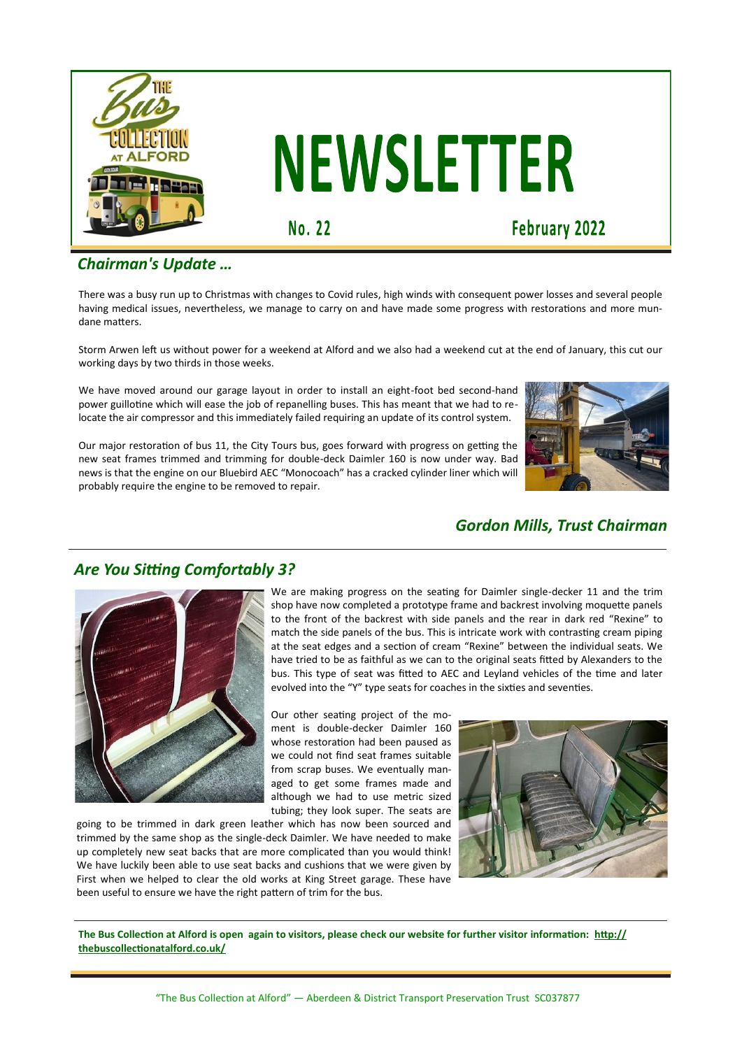

# **NEWSLETTER**

No. 22

**February 2022** 

## *Chairman's Update …*

There was a busy run up to Christmas with changes to Covid rules, high winds with consequent power losses and several people having medical issues, nevertheless, we manage to carry on and have made some progress with restorations and more mundane matters.

Storm Arwen left us without power for a weekend at Alford and we also had a weekend cut at the end of January, this cut our working days by two thirds in those weeks.

We have moved around our garage layout in order to install an eight-foot bed second-hand power guillotine which will ease the job of repanelling buses. This has meant that we had to relocate the air compressor and this immediately failed requiring an update of its control system.

Our major restoration of bus 11, the City Tours bus, goes forward with progress on getting the new seat frames trimmed and trimming for double-deck Daimler 160 is now under way. Bad news is that the engine on our Bluebird AEC "Monocoach" has a cracked cylinder liner which will probably require the engine to be removed to repair.



# *Gordon Mills, Trust Chairman*

### *Are You Sitting Comfortably 3?*



We are making progress on the seating for Daimler single-decker 11 and the trim shop have now completed a prototype frame and backrest involving moquette panels to the front of the backrest with side panels and the rear in dark red "Rexine" to match the side panels of the bus. This is intricate work with contrasting cream piping at the seat edges and a section of cream "Rexine" between the individual seats. We have tried to be as faithful as we can to the original seats fitted by Alexanders to the bus. This type of seat was fitted to AEC and Leyland vehicles of the time and later evolved into the "Y" type seats for coaches in the sixties and seventies.

Our other seating project of the moment is double-decker Daimler 160 whose restoration had been paused as we could not find seat frames suitable from scrap buses. We eventually managed to get some frames made and although we had to use metric sized tubing; they look super. The seats are

going to be trimmed in dark green leather which has now been sourced and trimmed by the same shop as the single-deck Daimler. We have needed to make up completely new seat backs that are more complicated than you would think! We have luckily been able to use seat backs and cushions that we were given by First when we helped to clear the old works at King Street garage. These have been useful to ensure we have the right pattern of trim for the bus.



**The Bus Collection at Alford is open again to visitors, please check our website for further visitor information: [http://](http://thebuscollectionatalford.co.uk/) [thebuscollectionatalford.co.uk/](http://thebuscollectionatalford.co.uk/)**